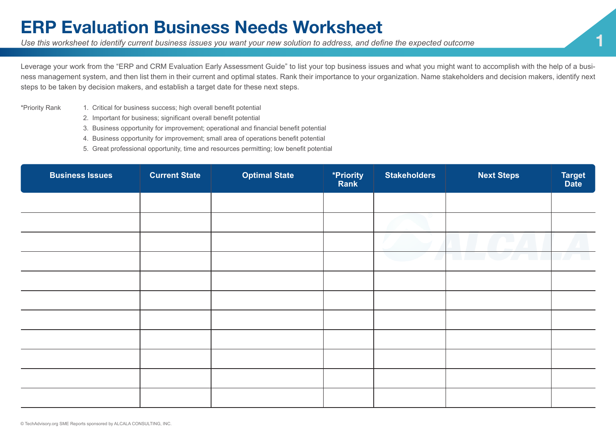## **ERP Evaluation Business Needs Worksheet**

*Use this worksheet to identify current business issues you want your new solution to address, and define the expected outcome* **1**

Leverage your work from the "ERP and CRM Evaluation Early Assessment Guide" to list your top business issues and what you might want to accomplish with the help of a business management system, and then list them in their current and optimal states. Rank their importance to your organization. Name stakeholders and decision makers, identify next steps to be taken by decision makers, and establish a target date for these next steps.

- \*Priority Rank 1. Critical for business success; high overall benefit potential
	- 2. Important for business; significant overall benefit potential
	- 3. Business opportunity for improvement; operational and financial benefit potential
	- 4. Business opportunity for improvement; small area of operations benefit potential
	- 5. Great professional opportunity, time and resources permitting; low benefit potential

| <b>Business Issues</b> | <b>Current State</b> | <b>Optimal State</b> | *Priority<br>Rank | <b>Stakeholders</b> | <b>Next Steps</b> | Target<br>Date |
|------------------------|----------------------|----------------------|-------------------|---------------------|-------------------|----------------|
|                        |                      |                      |                   |                     |                   |                |
|                        |                      |                      |                   |                     |                   |                |
|                        |                      |                      |                   |                     |                   |                |
|                        |                      |                      |                   |                     |                   |                |
|                        |                      |                      |                   |                     |                   |                |
|                        |                      |                      |                   |                     |                   |                |
|                        |                      |                      |                   |                     |                   |                |
|                        |                      |                      |                   |                     |                   |                |
|                        |                      |                      |                   |                     |                   |                |
|                        |                      |                      |                   |                     |                   |                |
|                        |                      |                      |                   |                     |                   |                |